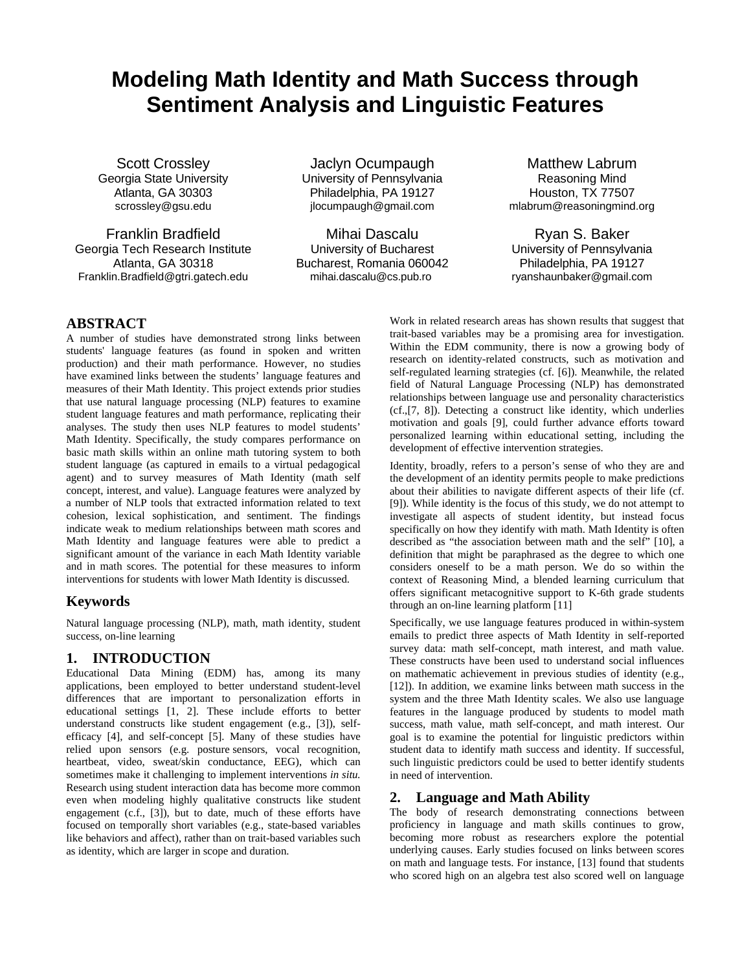# **Modeling Math Identity and Math Success through Sentiment Analysis and Linguistic Features**

Scott Crossley Georgia State University Atlanta, GA 30303 scrossley@gsu.edu

Franklin Bradfield Georgia Tech Research Institute Atlanta, GA 30318 Franklin.Bradfield@gtri.gatech.edu

Jaclyn Ocumpaugh University of Pennsylvania Philadelphia, PA 19127 jlocumpaugh@gmail.com

Mihai Dascalu University of Bucharest Bucharest, Romania 060042 mihai.dascalu@cs.pub.ro

Matthew Labrum Reasoning Mind Houston, TX 77507 mlabrum@reasoningmind.org

Ryan S. Baker University of Pennsylvania Philadelphia, PA 19127 ryanshaunbaker@gmail.com

## **ABSTRACT**

A number of studies have demonstrated strong links between students' language features (as found in spoken and written production) and their math performance. However, no studies have examined links between the students' language features and measures of their Math Identity. This project extends prior studies that use natural language processing (NLP) features to examine student language features and math performance, replicating their analyses. The study then uses NLP features to model students' Math Identity. Specifically, the study compares performance on basic math skills within an online math tutoring system to both student language (as captured in emails to a virtual pedagogical agent) and to survey measures of Math Identity (math self concept, interest, and value). Language features were analyzed by a number of NLP tools that extracted information related to text cohesion, lexical sophistication, and sentiment. The findings indicate weak to medium relationships between math scores and Math Identity and language features were able to predict a significant amount of the variance in each Math Identity variable and in math scores. The potential for these measures to inform interventions for students with lower Math Identity is discussed.

## **Keywords**

Natural language processing (NLP), math, math identity, student success, on-line learning

## **1. INTRODUCTION**

Educational Data Mining (EDM) has, among its many applications, been employed to better understand student-level differences that are important to personalization efforts in educational settings [1, 2]. These include efforts to better understand constructs like student engagement (e.g., [3]), selfefficacy [4], and self-concept [5]. Many of these studies have relied upon sensors (e.g. posture sensors, vocal recognition, heartbeat, video, sweat/skin conductance, EEG), which can sometimes make it challenging to implement interventions *in situ.*  Research using student interaction data has become more common even when modeling highly qualitative constructs like student engagement (c.f., [3]), but to date, much of these efforts have focused on temporally short variables (e.g., state-based variables like behaviors and affect), rather than on trait-based variables such as identity, which are larger in scope and duration.

Work in related research areas has shown results that suggest that trait-based variables may be a promising area for investigation. Within the EDM community, there is now a growing body of research on identity-related constructs, such as motivation and self-regulated learning strategies (cf. [6]). Meanwhile, the related field of Natural Language Processing (NLP) has demonstrated relationships between language use and personality characteristics (cf.,[7, 8]). Detecting a construct like identity, which underlies motivation and goals [9], could further advance efforts toward personalized learning within educational setting, including the development of effective intervention strategies.

Identity, broadly, refers to a person's sense of who they are and the development of an identity permits people to make predictions about their abilities to navigate different aspects of their life (cf. [9]). While identity is the focus of this study, we do not attempt to investigate all aspects of student identity, but instead focus specifically on how they identify with math. Math Identity is often described as "the association between math and the self" [10], a definition that might be paraphrased as the degree to which one considers oneself to be a math person. We do so within the context of Reasoning Mind, a blended learning curriculum that offers significant metacognitive support to K-6th grade students through an on-line learning platform [11]

Specifically, we use language features produced in within-system emails to predict three aspects of Math Identity in self-reported survey data: math self-concept, math interest, and math value. These constructs have been used to understand social influences on mathematic achievement in previous studies of identity (e.g., [12]). In addition, we examine links between math success in the system and the three Math Identity scales. We also use language features in the language produced by students to model math success, math value, math self-concept, and math interest. Our goal is to examine the potential for linguistic predictors within student data to identify math success and identity. If successful, such linguistic predictors could be used to better identify students in need of intervention.

## **2. Language and Math Ability**

The body of research demonstrating connections between proficiency in language and math skills continues to grow, becoming more robust as researchers explore the potential underlying causes. Early studies focused on links between scores on math and language tests. For instance, [13] found that students who scored high on an algebra test also scored well on language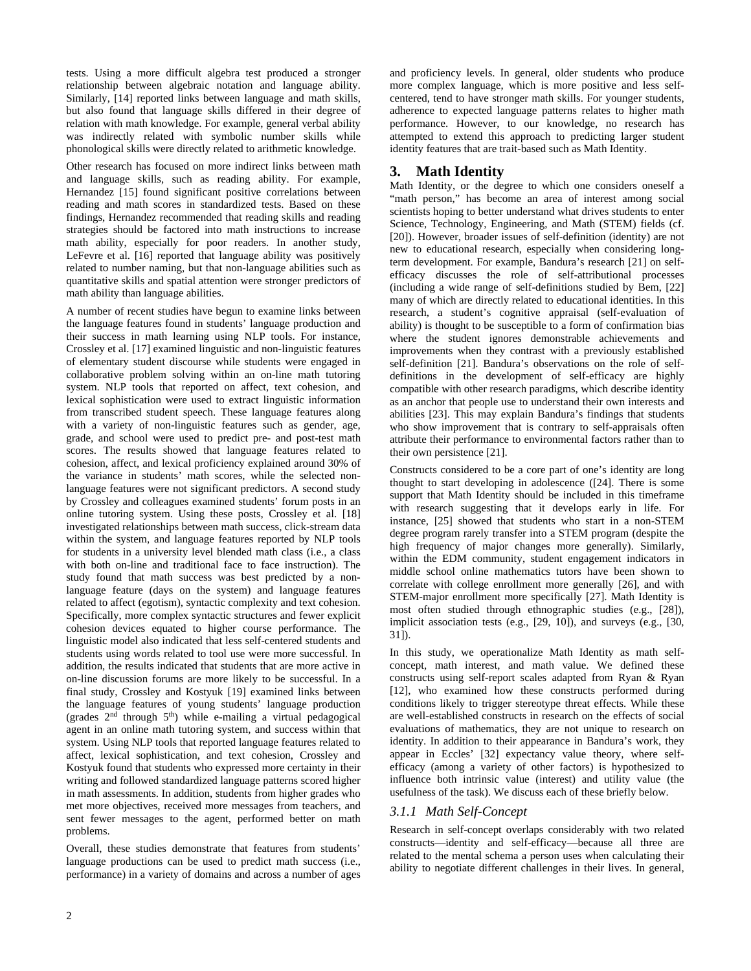tests. Using a more difficult algebra test produced a stronger relationship between algebraic notation and language ability. Similarly, [14] reported links between language and math skills, but also found that language skills differed in their degree of relation with math knowledge. For example, general verbal ability was indirectly related with symbolic number skills while phonological skills were directly related to arithmetic knowledge.

Other research has focused on more indirect links between math and language skills, such as reading ability. For example, Hernandez [15] found significant positive correlations between reading and math scores in standardized tests. Based on these findings, Hernandez recommended that reading skills and reading strategies should be factored into math instructions to increase math ability, especially for poor readers. In another study, LeFevre et al. [16] reported that language ability was positively related to number naming, but that non-language abilities such as quantitative skills and spatial attention were stronger predictors of math ability than language abilities.

A number of recent studies have begun to examine links between the language features found in students' language production and their success in math learning using NLP tools. For instance, Crossley et al. [17] examined linguistic and non-linguistic features of elementary student discourse while students were engaged in collaborative problem solving within an on-line math tutoring system. NLP tools that reported on affect, text cohesion, and lexical sophistication were used to extract linguistic information from transcribed student speech. These language features along with a variety of non-linguistic features such as gender, age, grade, and school were used to predict pre- and post-test math scores. The results showed that language features related to cohesion, affect, and lexical proficiency explained around 30% of the variance in students' math scores, while the selected nonlanguage features were not significant predictors. A second study by Crossley and colleagues examined students' forum posts in an online tutoring system. Using these posts, Crossley et al. [18] investigated relationships between math success, click-stream data within the system, and language features reported by NLP tools for students in a university level blended math class (i.e., a class with both on-line and traditional face to face instruction). The study found that math success was best predicted by a nonlanguage feature (days on the system) and language features related to affect (egotism), syntactic complexity and text cohesion. Specifically, more complex syntactic structures and fewer explicit cohesion devices equated to higher course performance. The linguistic model also indicated that less self-centered students and students using words related to tool use were more successful. In addition, the results indicated that students that are more active in on-line discussion forums are more likely to be successful. In a final study, Crossley and Kostyuk [19] examined links between the language features of young students' language production (grades  $2<sup>nd</sup>$  through  $5<sup>th</sup>$ ) while e-mailing a virtual pedagogical agent in an online math tutoring system, and success within that system. Using NLP tools that reported language features related to affect, lexical sophistication, and text cohesion, Crossley and Kostyuk found that students who expressed more certainty in their writing and followed standardized language patterns scored higher in math assessments. In addition, students from higher grades who met more objectives, received more messages from teachers, and sent fewer messages to the agent, performed better on math problems.

Overall, these studies demonstrate that features from students' language productions can be used to predict math success (i.e., performance) in a variety of domains and across a number of ages and proficiency levels. In general, older students who produce more complex language, which is more positive and less selfcentered, tend to have stronger math skills. For younger students, adherence to expected language patterns relates to higher math performance. However, to our knowledge, no research has attempted to extend this approach to predicting larger student identity features that are trait-based such as Math Identity.

## **3. Math Identity**

Math Identity, or the degree to which one considers oneself a "math person," has become an area of interest among social scientists hoping to better understand what drives students to enter Science, Technology, Engineering, and Math (STEM) fields (cf. [20]). However, broader issues of self-definition (identity) are not new to educational research, especially when considering longterm development. For example, Bandura's research [21] on selfefficacy discusses the role of self-attributional processes (including a wide range of self-definitions studied by Bem, [22] many of which are directly related to educational identities. In this research, a student's cognitive appraisal (self-evaluation of ability) is thought to be susceptible to a form of confirmation bias where the student ignores demonstrable achievements and improvements when they contrast with a previously established self-definition [21]. Bandura's observations on the role of selfdefinitions in the development of self-efficacy are highly compatible with other research paradigms, which describe identity as an anchor that people use to understand their own interests and abilities [23]. This may explain Bandura's findings that students who show improvement that is contrary to self-appraisals often attribute their performance to environmental factors rather than to their own persistence [21].

Constructs considered to be a core part of one's identity are long thought to start developing in adolescence ([24]. There is some support that Math Identity should be included in this timeframe with research suggesting that it develops early in life. For instance, [25] showed that students who start in a non-STEM degree program rarely transfer into a STEM program (despite the high frequency of major changes more generally). Similarly, within the EDM community, student engagement indicators in middle school online mathematics tutors have been shown to correlate with college enrollment more generally [26], and with STEM-major enrollment more specifically [27]. Math Identity is most often studied through ethnographic studies (e.g., [28]), implicit association tests (e.g., [29, 10]), and surveys (e.g., [30, 31]).

In this study, we operationalize Math Identity as math selfconcept, math interest, and math value. We defined these constructs using self-report scales adapted from Ryan & Ryan [12], who examined how these constructs performed during conditions likely to trigger stereotype threat effects. While these are well-established constructs in research on the effects of social evaluations of mathematics, they are not unique to research on identity. In addition to their appearance in Bandura's work, they appear in Eccles' [32] expectancy value theory, where selfefficacy (among a variety of other factors) is hypothesized to influence both intrinsic value (interest) and utility value (the usefulness of the task). We discuss each of these briefly below.

#### *3.1.1 Math Self-Concept*

Research in self-concept overlaps considerably with two related constructs—identity and self-efficacy—because all three are related to the mental schema a person uses when calculating their ability to negotiate different challenges in their lives. In general,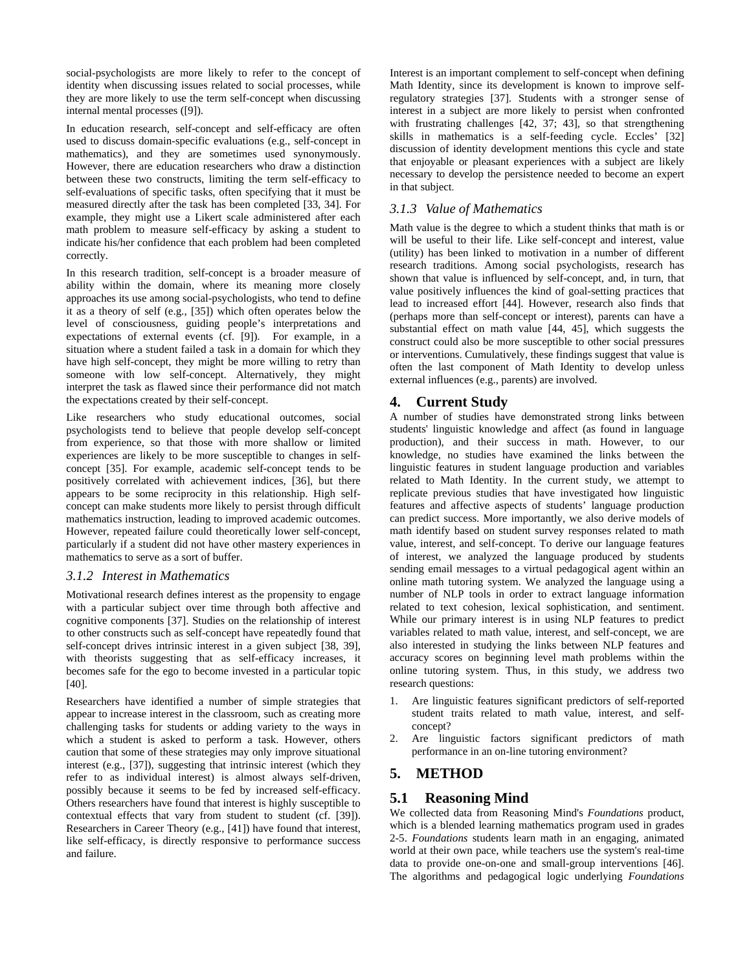social-psychologists are more likely to refer to the concept of identity when discussing issues related to social processes, while they are more likely to use the term self-concept when discussing internal mental processes ([9]).

In education research, self-concept and self-efficacy are often used to discuss domain-specific evaluations (e.g., self-concept in mathematics), and they are sometimes used synonymously. However, there are education researchers who draw a distinction between these two constructs, limiting the term self-efficacy to self-evaluations of specific tasks, often specifying that it must be measured directly after the task has been completed [33, 34]. For example, they might use a Likert scale administered after each math problem to measure self-efficacy by asking a student to indicate his/her confidence that each problem had been completed correctly.

In this research tradition, self-concept is a broader measure of ability within the domain, where its meaning more closely approaches its use among social-psychologists, who tend to define it as a theory of self (e.g., [35]) which often operates below the level of consciousness, guiding people's interpretations and expectations of external events (cf. [9]). For example, in a situation where a student failed a task in a domain for which they have high self-concept, they might be more willing to retry than someone with low self-concept. Alternatively, they might interpret the task as flawed since their performance did not match the expectations created by their self-concept.

Like researchers who study educational outcomes, social psychologists tend to believe that people develop self-concept from experience, so that those with more shallow or limited experiences are likely to be more susceptible to changes in selfconcept [35]. For example, academic self-concept tends to be positively correlated with achievement indices, [36], but there appears to be some reciprocity in this relationship. High selfconcept can make students more likely to persist through difficult mathematics instruction, leading to improved academic outcomes. However, repeated failure could theoretically lower self-concept, particularly if a student did not have other mastery experiences in mathematics to serve as a sort of buffer.

#### *3.1.2 Interest in Mathematics*

Motivational research defines interest as the propensity to engage with a particular subject over time through both affective and cognitive components [37]. Studies on the relationship of interest to other constructs such as self-concept have repeatedly found that self-concept drives intrinsic interest in a given subject [38, 39], with theorists suggesting that as self-efficacy increases, it becomes safe for the ego to become invested in a particular topic [40].

Researchers have identified a number of simple strategies that appear to increase interest in the classroom, such as creating more challenging tasks for students or adding variety to the ways in which a student is asked to perform a task. However, others caution that some of these strategies may only improve situational interest (e.g., [37]), suggesting that intrinsic interest (which they refer to as individual interest) is almost always self-driven, possibly because it seems to be fed by increased self-efficacy. Others researchers have found that interest is highly susceptible to contextual effects that vary from student to student (cf. [39]). Researchers in Career Theory (e.g., [41]) have found that interest, like self-efficacy, is directly responsive to performance success and failure.

Interest is an important complement to self-concept when defining Math Identity, since its development is known to improve selfregulatory strategies [37]. Students with a stronger sense of interest in a subject are more likely to persist when confronted with frustrating challenges [42, 37; 43], so that strengthening skills in mathematics is a self-feeding cycle. Eccles' [32] discussion of identity development mentions this cycle and state that enjoyable or pleasant experiences with a subject are likely necessary to develop the persistence needed to become an expert in that subject.

#### *3.1.3 Value of Mathematics*

Math value is the degree to which a student thinks that math is or will be useful to their life. Like self-concept and interest, value (utility) has been linked to motivation in a number of different research traditions. Among social psychologists, research has shown that value is influenced by self-concept, and, in turn, that value positively influences the kind of goal-setting practices that lead to increased effort [44]. However, research also finds that (perhaps more than self-concept or interest), parents can have a substantial effect on math value [44, 45], which suggests the construct could also be more susceptible to other social pressures or interventions. Cumulatively, these findings suggest that value is often the last component of Math Identity to develop unless external influences (e.g., parents) are involved.

#### **4. Current Study**

A number of studies have demonstrated strong links between students' linguistic knowledge and affect (as found in language production), and their success in math. However, to our knowledge, no studies have examined the links between the linguistic features in student language production and variables related to Math Identity. In the current study, we attempt to replicate previous studies that have investigated how linguistic features and affective aspects of students' language production can predict success. More importantly, we also derive models of math identify based on student survey responses related to math value, interest, and self-concept. To derive our language features of interest, we analyzed the language produced by students sending email messages to a virtual pedagogical agent within an online math tutoring system. We analyzed the language using a number of NLP tools in order to extract language information related to text cohesion, lexical sophistication, and sentiment. While our primary interest is in using NLP features to predict variables related to math value, interest, and self-concept, we are also interested in studying the links between NLP features and accuracy scores on beginning level math problems within the online tutoring system. Thus, in this study, we address two research questions:

- 1. Are linguistic features significant predictors of self-reported student traits related to math value, interest, and selfconcept?
- 2. Are linguistic factors significant predictors of math performance in an on-line tutoring environment?

#### **5. METHOD**

#### **5.1 Reasoning Mind**

We collected data from Reasoning Mind's *Foundations* product, which is a blended learning mathematics program used in grades 2-5. *Foundations* students learn math in an engaging, animated world at their own pace, while teachers use the system's real-time data to provide one-on-one and small-group interventions [46]. The algorithms and pedagogical logic underlying *Foundations*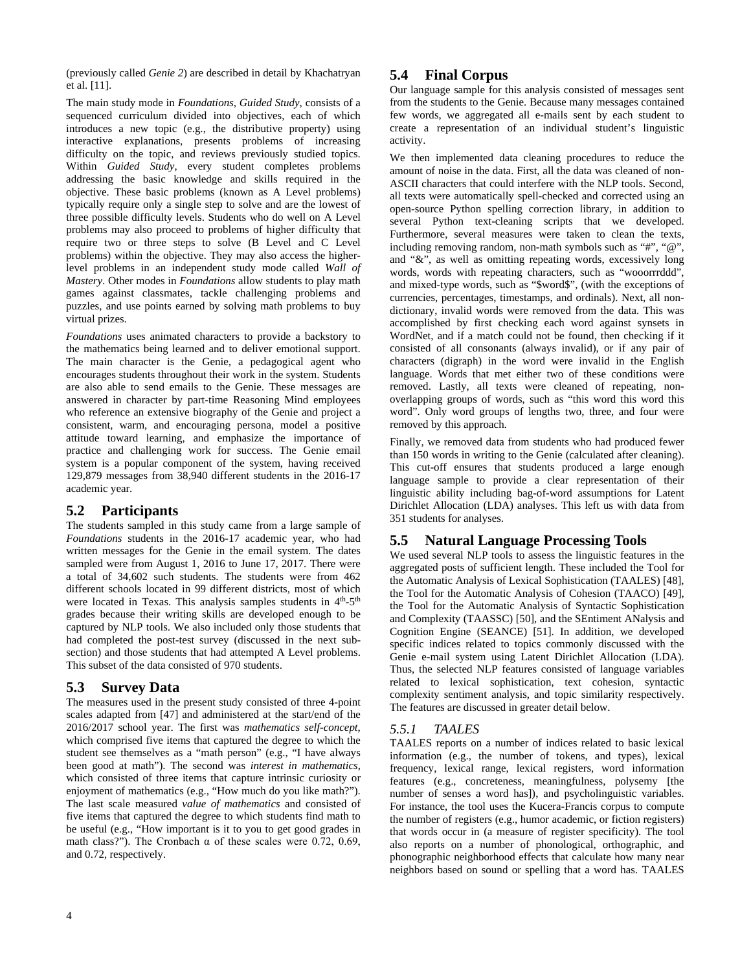(previously called *Genie 2*) are described in detail by Khachatryan et al. [11].

The main study mode in *Foundations*, *Guided Study*, consists of a sequenced curriculum divided into objectives, each of which introduces a new topic (e.g., the distributive property) using interactive explanations, presents problems of increasing difficulty on the topic, and reviews previously studied topics. Within *Guided Study*, every student completes problems addressing the basic knowledge and skills required in the objective. These basic problems (known as A Level problems) typically require only a single step to solve and are the lowest of three possible difficulty levels. Students who do well on A Level problems may also proceed to problems of higher difficulty that require two or three steps to solve (B Level and C Level problems) within the objective. They may also access the higherlevel problems in an independent study mode called *Wall of Mastery*. Other modes in *Foundations* allow students to play math games against classmates, tackle challenging problems and puzzles, and use points earned by solving math problems to buy virtual prizes.

*Foundations* uses animated characters to provide a backstory to the mathematics being learned and to deliver emotional support. The main character is the Genie, a pedagogical agent who encourages students throughout their work in the system. Students are also able to send emails to the Genie. These messages are answered in character by part-time Reasoning Mind employees who reference an extensive biography of the Genie and project a consistent, warm, and encouraging persona, model a positive attitude toward learning, and emphasize the importance of practice and challenging work for success. The Genie email system is a popular component of the system, having received 129,879 messages from 38,940 different students in the 2016-17 academic year.

## **5.2 Participants**

The students sampled in this study came from a large sample of *Foundations* students in the 2016-17 academic year, who had written messages for the Genie in the email system. The dates sampled were from August 1, 2016 to June 17, 2017. There were a total of 34,602 such students. The students were from 462 different schools located in 99 different districts, most of which were located in Texas. This analysis samples students in 4<sup>th</sup>-5<sup>th</sup> grades because their writing skills are developed enough to be captured by NLP tools. We also included only those students that had completed the post-test survey (discussed in the next subsection) and those students that had attempted A Level problems. This subset of the data consisted of 970 students.

## **5.3 Survey Data**

The measures used in the present study consisted of three 4-point scales adapted from [47] and administered at the start/end of the 2016/2017 school year. The first was *mathematics self-concept*, which comprised five items that captured the degree to which the student see themselves as a "math person" (e.g., "I have always been good at math"). The second was *interest in mathematics*, which consisted of three items that capture intrinsic curiosity or enjoyment of mathematics (e.g., "How much do you like math?"). The last scale measured *value of mathematics* and consisted of five items that captured the degree to which students find math to be useful (e.g., "How important is it to you to get good grades in math class?"). The Cronbach  $\alpha$  of these scales were 0.72, 0.69, and 0.72, respectively.

## **5.4 Final Corpus**

Our language sample for this analysis consisted of messages sent from the students to the Genie. Because many messages contained few words, we aggregated all e-mails sent by each student to create a representation of an individual student's linguistic activity.

We then implemented data cleaning procedures to reduce the amount of noise in the data. First, all the data was cleaned of non-ASCII characters that could interfere with the NLP tools. Second, all texts were automatically spell-checked and corrected using an open-source Python spelling correction library, in addition to several Python text-cleaning scripts that we developed. Furthermore, several measures were taken to clean the texts, including removing random, non-math symbols such as "#", "@", and "&", as well as omitting repeating words, excessively long words, words with repeating characters, such as "wooorrrddd", and mixed-type words, such as "\$word\$", (with the exceptions of currencies, percentages, timestamps, and ordinals). Next, all nondictionary, invalid words were removed from the data. This was accomplished by first checking each word against synsets in WordNet, and if a match could not be found, then checking if it consisted of all consonants (always invalid), or if any pair of characters (digraph) in the word were invalid in the English language. Words that met either two of these conditions were removed. Lastly, all texts were cleaned of repeating, nonoverlapping groups of words, such as "this word this word this word". Only word groups of lengths two, three, and four were removed by this approach.

Finally, we removed data from students who had produced fewer than 150 words in writing to the Genie (calculated after cleaning). This cut-off ensures that students produced a large enough language sample to provide a clear representation of their linguistic ability including bag-of-word assumptions for Latent Dirichlet Allocation (LDA) analyses. This left us with data from 351 students for analyses.

## **5.5 Natural Language Processing Tools**

We used several NLP tools to assess the linguistic features in the aggregated posts of sufficient length. These included the Tool for the Automatic Analysis of Lexical Sophistication (TAALES) [48], the Tool for the Automatic Analysis of Cohesion (TAACO) [49], the Tool for the Automatic Analysis of Syntactic Sophistication and Complexity (TAASSC) [50], and the SEntiment ANalysis and Cognition Engine (SEANCE) [51]. In addition, we developed specific indices related to topics commonly discussed with the Genie e-mail system using Latent Dirichlet Allocation (LDA). Thus, the selected NLP features consisted of language variables related to lexical sophistication, text cohesion, syntactic complexity sentiment analysis, and topic similarity respectively. The features are discussed in greater detail below.

## *5.5.1 TAALES*

TAALES reports on a number of indices related to basic lexical information (e.g., the number of tokens, and types), lexical frequency, lexical range, lexical registers, word information features (e.g., concreteness, meaningfulness, polysemy [the number of senses a word has]), and psycholinguistic variables. For instance, the tool uses the Kucera-Francis corpus to compute the number of registers (e.g., humor academic, or fiction registers) that words occur in (a measure of register specificity). The tool also reports on a number of phonological, orthographic, and phonographic neighborhood effects that calculate how many near neighbors based on sound or spelling that a word has. TAALES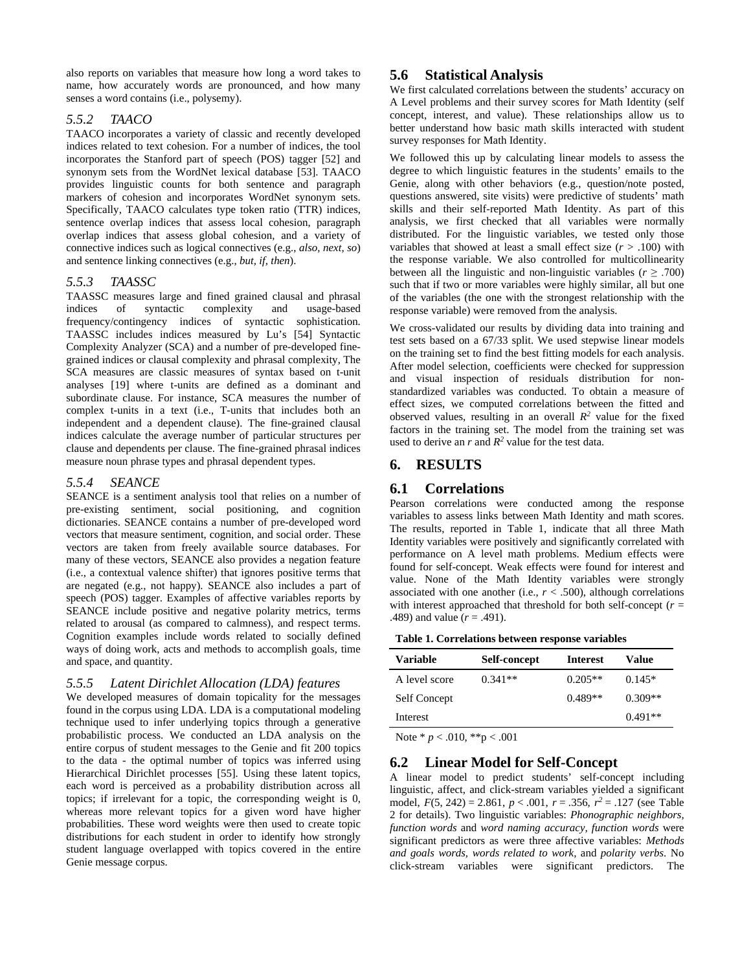also reports on variables that measure how long a word takes to name, how accurately words are pronounced, and how many senses a word contains (i.e., polysemy).

#### *5.5.2 TAACO*

TAACO incorporates a variety of classic and recently developed indices related to text cohesion. For a number of indices, the tool incorporates the Stanford part of speech (POS) tagger [52] and synonym sets from the WordNet lexical database [53]. TAACO provides linguistic counts for both sentence and paragraph markers of cohesion and incorporates WordNet synonym sets. Specifically, TAACO calculates type token ratio (TTR) indices, sentence overlap indices that assess local cohesion, paragraph overlap indices that assess global cohesion, and a variety of connective indices such as logical connectives (e.g., *also, next, so*) and sentence linking connectives (e.g., *but, if, then*).

#### *5.5.3 TAASSC*

TAASSC measures large and fined grained clausal and phrasal indices of syntactic complexity and usage-based frequency/contingency indices of syntactic sophistication. TAASSC includes indices measured by Lu's [54] Syntactic Complexity Analyzer (SCA) and a number of pre-developed finegrained indices or clausal complexity and phrasal complexity, The SCA measures are classic measures of syntax based on t-unit analyses [19] where t-units are defined as a dominant and subordinate clause. For instance, SCA measures the number of complex t-units in a text (i.e., T-units that includes both an independent and a dependent clause). The fine-grained clausal indices calculate the average number of particular structures per clause and dependents per clause. The fine-grained phrasal indices measure noun phrase types and phrasal dependent types.

#### *5.5.4 SEANCE*

SEANCE is a sentiment analysis tool that relies on a number of pre-existing sentiment, social positioning, and cognition dictionaries. SEANCE contains a number of pre-developed word vectors that measure sentiment, cognition, and social order. These vectors are taken from freely available source databases. For many of these vectors, SEANCE also provides a negation feature (i.e., a contextual valence shifter) that ignores positive terms that are negated (e.g., not happy). SEANCE also includes a part of speech (POS) tagger. Examples of affective variables reports by SEANCE include positive and negative polarity metrics, terms related to arousal (as compared to calmness), and respect terms. Cognition examples include words related to socially defined ways of doing work, acts and methods to accomplish goals, time and space, and quantity.

### *5.5.5 Latent Dirichlet Allocation (LDA) features*

We developed measures of domain topicality for the messages found in the corpus using LDA. LDA is a computational modeling technique used to infer underlying topics through a generative probabilistic process. We conducted an LDA analysis on the entire corpus of student messages to the Genie and fit 200 topics to the data - the optimal number of topics was inferred using Hierarchical Dirichlet processes [55]. Using these latent topics, each word is perceived as a probability distribution across all topics; if irrelevant for a topic, the corresponding weight is 0, whereas more relevant topics for a given word have higher probabilities. These word weights were then used to create topic distributions for each student in order to identify how strongly student language overlapped with topics covered in the entire Genie message corpus.

## **5.6 Statistical Analysis**

We first calculated correlations between the students' accuracy on A Level problems and their survey scores for Math Identity (self concept, interest, and value). These relationships allow us to better understand how basic math skills interacted with student survey responses for Math Identity.

We followed this up by calculating linear models to assess the degree to which linguistic features in the students' emails to the Genie, along with other behaviors (e.g., question/note posted, questions answered, site visits) were predictive of students' math skills and their self-reported Math Identity. As part of this analysis, we first checked that all variables were normally distributed. For the linguistic variables, we tested only those variables that showed at least a small effect size  $(r > .100)$  with the response variable. We also controlled for multicollinearity between all the linguistic and non-linguistic variables  $(r > .700)$ such that if two or more variables were highly similar, all but one of the variables (the one with the strongest relationship with the response variable) were removed from the analysis.

We cross-validated our results by dividing data into training and test sets based on a 67/33 split. We used stepwise linear models on the training set to find the best fitting models for each analysis. After model selection, coefficients were checked for suppression and visual inspection of residuals distribution for nonstandardized variables was conducted. To obtain a measure of effect sizes, we computed correlations between the fitted and observed values, resulting in an overall  $R^2$  value for the fixed factors in the training set. The model from the training set was used to derive an  $r$  and  $R^2$  value for the test data.

## **6. RESULTS**

## **6.1 Correlations**

Pearson correlations were conducted among the response variables to assess links between Math Identity and math scores. The results, reported in Table 1, indicate that all three Math Identity variables were positively and significantly correlated with performance on A level math problems. Medium effects were found for self-concept. Weak effects were found for interest and value. None of the Math Identity variables were strongly associated with one another (i.e.,  $r < .500$ ), although correlations with interest approached that threshold for both self-concept  $(r =$ .489) and value (*r* = .491).

**Table 1. Correlations between response variables**

| Variable      | Self-concept | <b>Interest</b> | Value     |
|---------------|--------------|-----------------|-----------|
| A level score | $0.341**$    | $0.205**$       | $0.145*$  |
| Self Concept  |              | $0.489**$       | $0.309**$ |
| Interest      |              |                 | $0.491**$ |

Note \* *p* < .010, \*\*p < .001

## **6.2 Linear Model for Self-Concept**

A linear model to predict students' self-concept including linguistic, affect, and click-stream variables yielded a significant model, *F*(5, 242) = 2.861, *p* < .001, *r* = .356, *r2* = .127 (see Table 2 for details). Two linguistic variables: *Phonographic neighbors, function words* and *word naming accuracy, function words* were significant predictors as were three affective variables: *Methods and goals words, words related to work,* and *polarity verbs*. No click-stream variables were significant predictors. The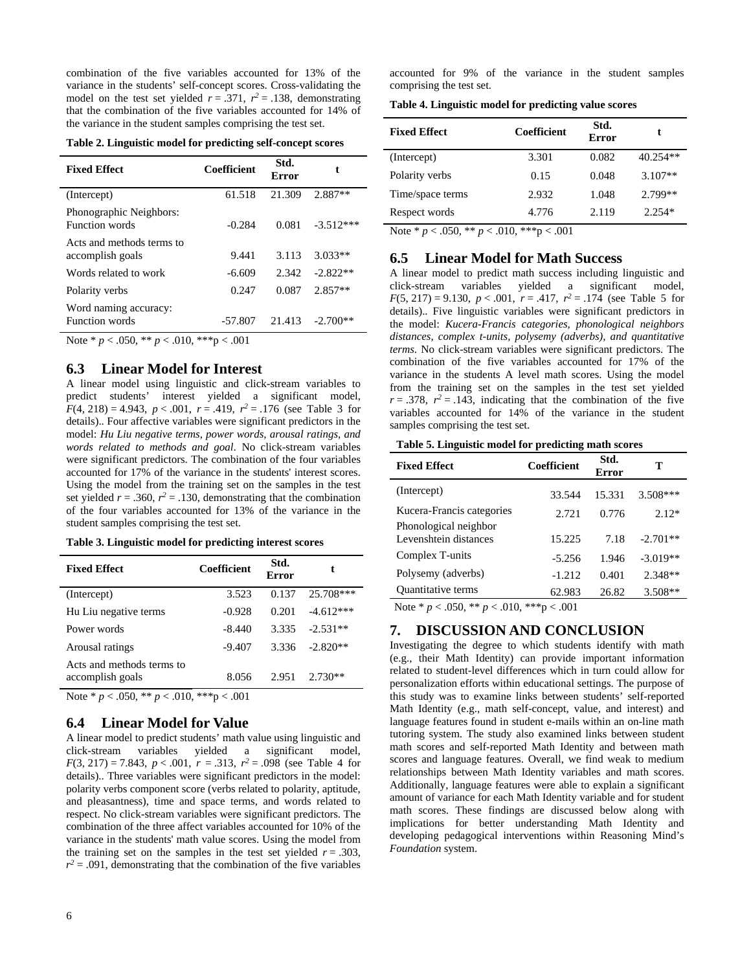combination of the five variables accounted for 13% of the variance in the students' self-concept scores. Cross-validating the model on the test set yielded  $r = .371$ ,  $r^2 = .138$ , demonstrating that the combination of the five variables accounted for 14% of the variance in the student samples comprising the test set.

|  |  |  | Table 2. Linguistic model for predicting self-concept scores |  |  |
|--|--|--|--------------------------------------------------------------|--|--|
|  |  |  |                                                              |  |  |

| <b>Fixed Effect</b>                              | <b>Coefficient</b> | Std.<br>Error | t           |  |
|--------------------------------------------------|--------------------|---------------|-------------|--|
| (Intercept)                                      | 61.518             | 21.309        | 2.887**     |  |
| Phonographic Neighbors:<br><b>Function</b> words | $-0.284$           | 0.081         | $-3.512***$ |  |
| Acts and methods terms to<br>accomplish goals    | 9.441              | 3.113         | $3.033**$   |  |
| Words related to work                            | $-6.609$           | 2.342         | $-2.822**$  |  |
| Polarity verbs                                   | 0.247              | 0.087         | $2.857**$   |  |
| Word naming accuracy:<br><b>Function</b> words   | $-57.807$          | 21.413        | $-2.700**$  |  |

Note \*  $p < .050$ , \*\*  $p < .010$ , \*\*\*p  $< .001$ 

#### **6.3 Linear Model for Interest**

A linear model using linguistic and click-stream variables to predict students' interest yielded a significant model,  $F(4, 218) = 4.943$ ,  $p < .001$ ,  $r = .419$ ,  $r^2 = .176$  (see Table 3 for details).. Four affective variables were significant predictors in the model: *Hu Liu negative terms, power words, arousal ratings, and words related to methods and goal*. No click-stream variables were significant predictors. The combination of the four variables accounted for 17% of the variance in the students' interest scores. Using the model from the training set on the samples in the test set yielded  $r = .360$ ,  $r^2 = .130$ , demonstrating that the combination of the four variables accounted for 13% of the variance in the student samples comprising the test set.

#### **Table 3. Linguistic model for predicting interest scores**

| <b>Fixed Effect</b>                                                                               | Coefficient | Std.<br>Error |             |  |
|---------------------------------------------------------------------------------------------------|-------------|---------------|-------------|--|
| (Intercept)                                                                                       | 3.523       | 0.137         | 25.708***   |  |
| Hu Liu negative terms                                                                             | $-0.928$    | 0.201         | $-4.612***$ |  |
| Power words                                                                                       | $-8.440$    | 3.335         | $-2.531**$  |  |
| Arousal ratings                                                                                   | $-9.407$    | 3.336         | $-2.820**$  |  |
| Acts and methods terms to<br>accomplish goals                                                     | 8.056       | 2.951         | $2.730**$   |  |
| $\bigcap_{i=1}^n A_i = \bigcap_{i=1}^n A_i = \bigcap_{i=1}^n A_i$<br>$\mathbf{a}$<br>$\mathbf{X}$ | 0.10 k      |               |             |  |

Note \* *p* < .050, \*\* *p* < .010, \*\*\*p < .001

#### **6.4 Linear Model for Value**

A linear model to predict students' math value using linguistic and click-stream variables yielded a significant model, *F*(3, 217) = 7.843, *p* < .001, *r* = .313, *r2* = .098 (see Table 4 for details).. Three variables were significant predictors in the model: polarity verbs component score (verbs related to polarity, aptitude, and pleasantness), time and space terms, and words related to respect. No click-stream variables were significant predictors. The combination of the three affect variables accounted for 10% of the variance in the students' math value scores. Using the model from the training set on the samples in the test set yielded  $r = .303$ ,  $r^2$  = .091, demonstrating that the combination of the five variables

accounted for 9% of the variance in the student samples comprising the test set.

**Table 4. Linguistic model for predicting value scores**

| <b>Fixed Effect</b> | Coefficient | Std.<br><b>Error</b> | t          |
|---------------------|-------------|----------------------|------------|
| (Intercept)         | 3.301       | 0.082                | $40.254**$ |
| Polarity verbs      | 0.15        | 0.048                | $3.107**$  |
| Time/space terms    | 2.932       | 1.048                | 2.799**    |
| Respect words       | 4.776       | 2.119                | $2.254*$   |

Note \* *p* < .050, \*\* *p* < .010, \*\*\*p < .001

#### **6.5 Linear Model for Math Success**

A linear model to predict math success including linguistic and click-stream variables yielded a significant model,  $F(5, 217) = 9.130, p < .001, r = .417, r^2 = .174$  (see Table 5 for details).. Five linguistic variables were significant predictors in the model: *Kucera-Francis categories, phonological neighbors distances, complex t-units, polysemy (adverbs), and quantitative terms*. No click-stream variables were significant predictors. The combination of the five variables accounted for 17% of the variance in the students A level math scores. Using the model from the training set on the samples in the test set yielded  $r = .378$ ,  $r^2 = .143$ , indicating that the combination of the five variables accounted for 14% of the variance in the student samples comprising the test set.

**Table 5. Linguistic model for predicting math scores**

| <b>Fixed Effect</b>                            | Coefficient | Std.<br>Error | т          |
|------------------------------------------------|-------------|---------------|------------|
| (Intercept)                                    | 33.544      | 15.331        | $3.508***$ |
| Kucera-Francis categories                      | 2.721       | 0.776         | $2.12*$    |
| Phonological neighbor<br>Levenshtein distances | 15.225      | 7.18          | $-2.701**$ |
| Complex T-units                                | $-5.256$    | 1.946         | $-3.019**$ |
| Polysemy (adverbs)                             | $-1.212$    | 0.401         | $2.348**$  |
| <b>Ouantitative terms</b>                      | 62.983      | 26.82         | $3.508**$  |

Note \* *p* < .050, \*\* *p* < .010, \*\*\*p < .001

#### **7. DISCUSSION AND CONCLUSION**

Investigating the degree to which students identify with math (e.g., their Math Identity) can provide important information related to student-level differences which in turn could allow for personalization efforts within educational settings. The purpose of this study was to examine links between students' self-reported Math Identity (e.g., math self-concept, value, and interest) and language features found in student e-mails within an on-line math tutoring system. The study also examined links between student math scores and self-reported Math Identity and between math scores and language features. Overall, we find weak to medium relationships between Math Identity variables and math scores. Additionally, language features were able to explain a significant amount of variance for each Math Identity variable and for student math scores. These findings are discussed below along with implications for better understanding Math Identity and developing pedagogical interventions within Reasoning Mind's *Foundation* system.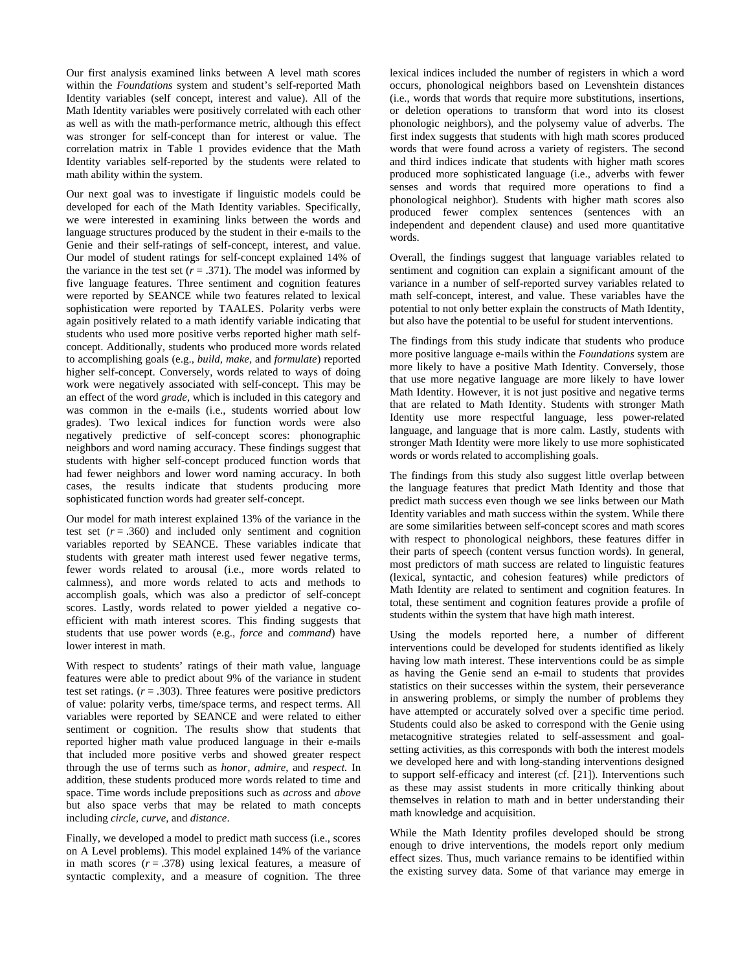Our first analysis examined links between A level math scores within the *Foundations* system and student's self-reported Math Identity variables (self concept, interest and value). All of the Math Identity variables were positively correlated with each other as well as with the math-performance metric, although this effect was stronger for self-concept than for interest or value. The correlation matrix in Table 1 provides evidence that the Math Identity variables self-reported by the students were related to math ability within the system.

Our next goal was to investigate if linguistic models could be developed for each of the Math Identity variables. Specifically, we were interested in examining links between the words and language structures produced by the student in their e-mails to the Genie and their self-ratings of self-concept, interest, and value. Our model of student ratings for self-concept explained 14% of the variance in the test set  $(r = .371)$ . The model was informed by five language features. Three sentiment and cognition features were reported by SEANCE while two features related to lexical sophistication were reported by TAALES. Polarity verbs were again positively related to a math identify variable indicating that students who used more positive verbs reported higher math selfconcept. Additionally, students who produced more words related to accomplishing goals (e.g., *build, make,* and *formulate*) reported higher self-concept. Conversely, words related to ways of doing work were negatively associated with self-concept. This may be an effect of the word *grade,* which is included in this category and was common in the e-mails (i.e., students worried about low grades). Two lexical indices for function words were also negatively predictive of self-concept scores: phonographic neighbors and word naming accuracy. These findings suggest that students with higher self-concept produced function words that had fewer neighbors and lower word naming accuracy. In both cases, the results indicate that students producing more sophisticated function words had greater self-concept.

Our model for math interest explained 13% of the variance in the test set  $(r = .360)$  and included only sentiment and cognition variables reported by SEANCE. These variables indicate that students with greater math interest used fewer negative terms, fewer words related to arousal (i.e., more words related to calmness), and more words related to acts and methods to accomplish goals, which was also a predictor of self-concept scores. Lastly, words related to power yielded a negative coefficient with math interest scores. This finding suggests that students that use power words (e.g., *force* and *command*) have lower interest in math.

With respect to students' ratings of their math value, language features were able to predict about 9% of the variance in student test set ratings.  $(r = .303)$ . Three features were positive predictors of value: polarity verbs, time/space terms, and respect terms. All variables were reported by SEANCE and were related to either sentiment or cognition. The results show that students that reported higher math value produced language in their e-mails that included more positive verbs and showed greater respect through the use of terms such as *honor, admire,* and *respect.* In addition, these students produced more words related to time and space. Time words include prepositions such as *across* and *above* but also space verbs that may be related to math concepts including *circle, curve,* and *distance*.

Finally, we developed a model to predict math success (i.e., scores on A Level problems). This model explained 14% of the variance in math scores  $(r = .378)$  using lexical features, a measure of syntactic complexity, and a measure of cognition. The three lexical indices included the number of registers in which a word occurs, phonological neighbors based on Levenshtein distances (i.e., words that words that require more substitutions, insertions, or deletion operations to transform that word into its closest phonologic neighbors), and the polysemy value of adverbs. The first index suggests that students with high math scores produced words that were found across a variety of registers. The second and third indices indicate that students with higher math scores produced more sophisticated language (i.e., adverbs with fewer senses and words that required more operations to find a phonological neighbor). Students with higher math scores also produced fewer complex sentences (sentences with an independent and dependent clause) and used more quantitative words.

Overall, the findings suggest that language variables related to sentiment and cognition can explain a significant amount of the variance in a number of self-reported survey variables related to math self-concept, interest, and value. These variables have the potential to not only better explain the constructs of Math Identity, but also have the potential to be useful for student interventions.

The findings from this study indicate that students who produce more positive language e-mails within the *Foundations* system are more likely to have a positive Math Identity. Conversely, those that use more negative language are more likely to have lower Math Identity. However, it is not just positive and negative terms that are related to Math Identity. Students with stronger Math Identity use more respectful language, less power-related language, and language that is more calm. Lastly, students with stronger Math Identity were more likely to use more sophisticated words or words related to accomplishing goals.

The findings from this study also suggest little overlap between the language features that predict Math Identity and those that predict math success even though we see links between our Math Identity variables and math success within the system. While there are some similarities between self-concept scores and math scores with respect to phonological neighbors, these features differ in their parts of speech (content versus function words). In general, most predictors of math success are related to linguistic features (lexical, syntactic, and cohesion features) while predictors of Math Identity are related to sentiment and cognition features. In total, these sentiment and cognition features provide a profile of students within the system that have high math interest.

Using the models reported here, a number of different interventions could be developed for students identified as likely having low math interest. These interventions could be as simple as having the Genie send an e-mail to students that provides statistics on their successes within the system, their perseverance in answering problems, or simply the number of problems they have attempted or accurately solved over a specific time period. Students could also be asked to correspond with the Genie using metacognitive strategies related to self-assessment and goalsetting activities, as this corresponds with both the interest models we developed here and with long-standing interventions designed to support self-efficacy and interest (cf. [21]). Interventions such as these may assist students in more critically thinking about themselves in relation to math and in better understanding their math knowledge and acquisition.

While the Math Identity profiles developed should be strong enough to drive interventions, the models report only medium effect sizes. Thus, much variance remains to be identified within the existing survey data. Some of that variance may emerge in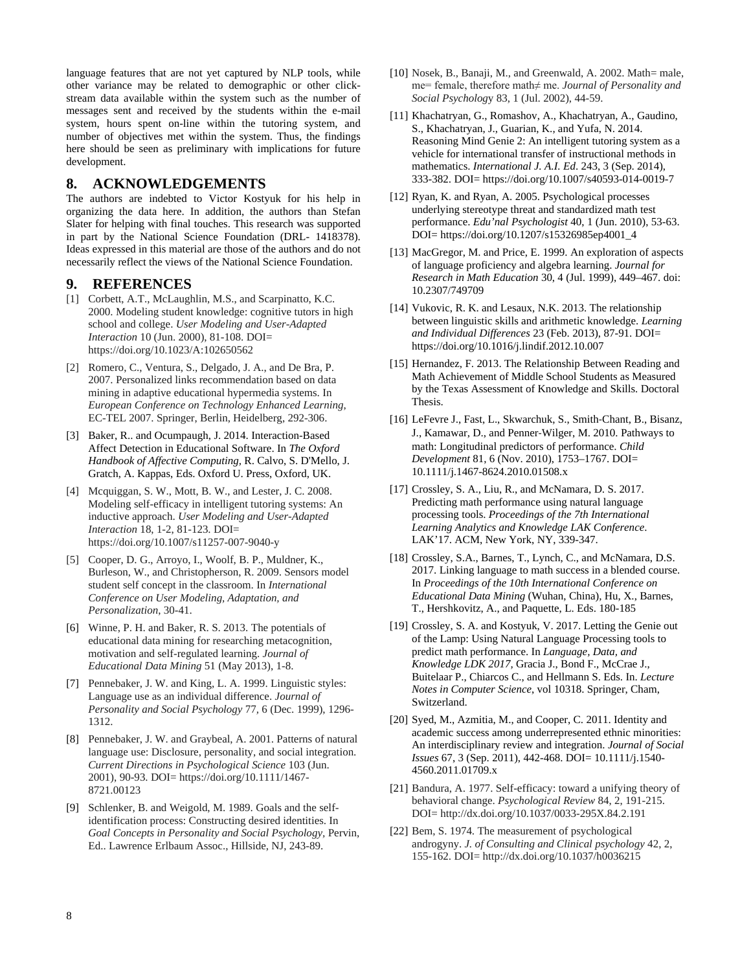language features that are not yet captured by NLP tools, while other variance may be related to demographic or other clickstream data available within the system such as the number of messages sent and received by the students within the e-mail system, hours spent on-line within the tutoring system, and number of objectives met within the system. Thus, the findings here should be seen as preliminary with implications for future development.

#### **8. ACKNOWLEDGEMENTS**

The authors are indebted to Victor Kostyuk for his help in organizing the data here. In addition, the authors than Stefan Slater for helping with final touches. This research was supported in part by the National Science Foundation (DRL- 1418378). Ideas expressed in this material are those of the authors and do not necessarily reflect the views of the National Science Foundation.

#### **9. REFERENCES**

- [1] Corbett, A.T., McLaughlin, M.S., and Scarpinatto, K.C. 2000. Modeling student knowledge: cognitive tutors in high school and college. *User Modeling and User-Adapted Interaction* 10 (Jun. 2000), 81-108. DOI= https://doi.org/10.1023/A:102650562
- [2] Romero, C., Ventura, S., Delgado, J. A., and De Bra, P. 2007. Personalized links recommendation based on data mining in adaptive educational hypermedia systems. In *European Conference on Technology Enhanced Learning*, EC-TEL 2007. Springer, Berlin, Heidelberg, 292-306.
- [3] Baker, R.. and Ocumpaugh, J. 2014. Interaction-Based Affect Detection in Educational Software. In *The Oxford Handbook of Affective Computing,* R. Calvo, S. D'Mello, J. Gratch, A. Kappas, Eds. Oxford U. Press, Oxford, UK.
- [4] Mcquiggan, S. W., Mott, B. W., and Lester, J. C. 2008. Modeling self-efficacy in intelligent tutoring systems: An inductive approach. *User Modeling and User-Adapted Interaction* 18, 1-2, 81-123. DOI= https://doi.org/10.1007/s11257-007-9040-y
- [5] Cooper, D. G., Arroyo, I., Woolf, B. P., Muldner, K., Burleson, W., and Christopherson, R. 2009. Sensors model student self concept in the classroom. In *International Conference on User Modeling, Adaptation, and Personalization*, 30-41.
- [6] Winne, P. H. and Baker, R. S. 2013. The potentials of educational data mining for researching metacognition, motivation and self-regulated learning. *Journal of Educational Data Mining* 51 (May 2013), 1-8.
- [7] Pennebaker, J. W. and King, L. A. 1999. Linguistic styles: Language use as an individual difference. *Journal of Personality and Social Psychology* 77*,* 6 (Dec. 1999), 1296- 1312.
- [8] Pennebaker, J. W. and Graybeal, A. 2001. Patterns of natural language use: Disclosure, personality, and social integration. *Current Directions in Psychological Science* 103 (Jun. 2001), 90-93. DOI= https://doi.org/10.1111/1467- 8721.00123
- [9] Schlenker, B. and Weigold, M. 1989. Goals and the selfidentification process: Constructing desired identities. In *Goal Concepts in Personality and Social Psychology,* Pervin, Ed.. Lawrence Erlbaum Assoc., Hillside, NJ, 243-89.
- [10] Nosek, B., Banaji, M., and Greenwald, A. 2002. Math= male, me= female, therefore math≠ me. *Journal of Personality and Social Psycholog*y 83, 1 (Jul. 2002), 44-59.
- [11] Khachatryan, G., Romashov, A., Khachatryan, A., Gaudino, S., Khachatryan, J., Guarian, K., and Yufa, N. 2014. Reasoning Mind Genie 2: An intelligent tutoring system as a vehicle for international transfer of instructional methods in mathematics. *International J. A.I. Ed*. 243, 3 (Sep. 2014), 333-382. DOI= https://doi.org/10.1007/s40593-014-0019-7
- [12] Ryan, K. and Ryan, A. 2005. Psychological processes underlying stereotype threat and standardized math test performance. *Edu'nal Psychologist* 40, 1 (Jun. 2010), 53-63. DOI= https://doi.org/10.1207/s15326985ep4001\_4
- [13] MacGregor, M. and Price, E. 1999. An exploration of aspects of language proficiency and algebra learning. *Journal for Research in Math Education* 30, 4 (Jul. 1999), 449–467. doi: 10.2307/749709
- [14] Vukovic, R. K. and Lesaux, N.K. 2013. The relationship between linguistic skills and arithmetic knowledge. *Learning and Individual Differences* 23 (Feb. 2013), 87-91. DOI= https://doi.org/10.1016/j.lindif.2012.10.007
- [15] Hernandez, F. 2013. The Relationship Between Reading and Math Achievement of Middle School Students as Measured by the Texas Assessment of Knowledge and Skills. Doctoral Thesis.
- [16] LeFevre J., Fast, L., Skwarchuk, S., Smith‐Chant, B., Bisanz, J., Kamawar, D., and Penner‐Wilger, M. 2010. Pathways to math: Longitudinal predictors of performance. *Child Development* 81, 6 (Nov. 2010), 1753–1767. DOI= 10.1111/j.1467-8624.2010.01508.x
- [17] Crossley, S. A., Liu, R., and McNamara, D. S. 2017. Predicting math performance using natural language processing tools. *Proceedings of the 7th International Learning Analytics and Knowledge LAK Conference*. LAK'17. ACM, New York, NY, 339-347.
- [18] Crossley, S.A., Barnes, T., Lynch, C., and McNamara, D.S. 2017. Linking language to math success in a blended course. In *Proceedings of the 10th International Conference on Educational Data Mining* (Wuhan, China)*,* Hu, X., Barnes, T., Hershkovitz, A., and Paquette, L. Eds. 180-185
- [19] Crossley, S. A. and Kostyuk, V. 2017. Letting the Genie out of the Lamp: Using Natural Language Processing tools to predict math performance. In *Language, Data, and Knowledge LDK 2017,* Gracia J., Bond F., McCrae J., Buitelaar P., Chiarcos C., and Hellmann S. Eds. In. *Lecture Notes in Computer Science*, vol 10318. Springer, Cham, Switzerland.
- [20] Syed, M., Azmitia, M., and Cooper, C. 2011. Identity and academic success among underrepresented ethnic minorities: An interdisciplinary review and integration. *Journal of Social Issues* 67, 3 (Sep. 2011), 442-468. DOI= 10.1111/j.1540- 4560.2011.01709.x
- [21] Bandura, A. 1977. Self-efficacy: toward a unifying theory of behavioral change. *Psychological Review* 84, 2, 191-215. DOI= http://dx.doi.org/10.1037/0033-295X.84.2.191
- [22] Bem, S. 1974. The measurement of psychological androgyny. *J. of Consulting and Clinical psychology* 42, 2, 155-162. DOI= http://dx.doi.org/10.1037/h0036215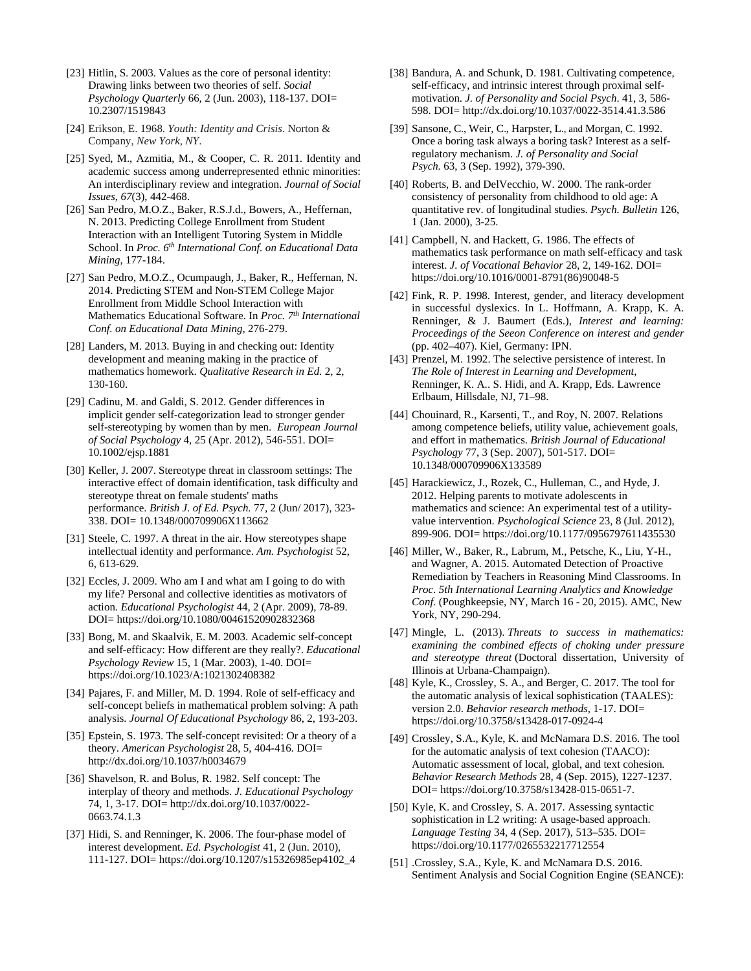- [23] Hitlin, S. 2003. Values as the core of personal identity: Drawing links between two theories of self. *Social Psychology Quarterly* 66, 2 (Jun. 2003), 118-137. DOI= 10.2307/1519843
- [24] Erikson, E. 1968. *Youth: Identity and Crisis*. Norton & Company, *New York, NY*.
- [25] Syed, M., Azmitia, M., & Cooper, C. R. 2011. Identity and academic success among underrepresented ethnic minorities: An interdisciplinary review and integration. *Journal of Social Issues*, *67*(3), 442-468.
- [26] San Pedro, M.O.Z., Baker, R.S.J.d., Bowers, A., Heffernan, N. 2013. Predicting College Enrollment from Student Interaction with an Intelligent Tutoring System in Middle School. In *Proc. 6th International Conf. on Educational Data Mining*, 177-184.
- [27] San Pedro, M.O.Z., Ocumpaugh, J., Baker, R., Heffernan, N. 2014. Predicting STEM and Non-STEM College Major Enrollment from Middle School Interaction with Mathematics Educational Software. In *Proc. 7th International Conf. on Educational Data Mining*, 276-279.
- [28] Landers, M. 2013. Buying in and checking out: Identity development and meaning making in the practice of mathematics homework. *Qualitative Research in Ed.* 2*,* 2, 130-160.
- [29] Cadinu, M. and Galdi, S. 2012. Gender differences in implicit gender self-categorization lead to stronger gender self-stereotyping by women than by men. *European Journal of Social Psychology* 4, 25 (Apr. 2012), 546-551. DOI= 10.1002/ejsp.1881
- [30] Keller, J. 2007. Stereotype threat in classroom settings: The interactive effect of domain identification, task difficulty and stereotype threat on female students' maths performance. *British J. of Ed. Psych.* 77, 2 (Jun/ 2017), 323- 338. DOI= 10.1348/000709906X113662
- [31] Steele, C. 1997. A threat in the air. How stereotypes shape intellectual identity and performance. *Am. Psychologist* 52, 6, 613-629.
- [32] Eccles, J. 2009. Who am I and what am I going to do with my life? Personal and collective identities as motivators of action*. Educational Psychologist* 44, 2 (Apr. 2009), 78-89. DOI= https://doi.org/10.1080/00461520902832368
- [33] Bong, M. and Skaalvik, E. M. 2003. Academic self-concept and self-efficacy: How different are they really?. *Educational Psychology Review* 15, 1 (Mar. 2003), 1-40. DOI= https://doi.org/10.1023/A:1021302408382
- [34] Pajares, F. and Miller, M. D. 1994. Role of self-efficacy and self-concept beliefs in mathematical problem solving: A path analysis. *Journal Of Educational Psychology* 86, 2, 193-203.
- [35] Epstein, S. 1973. The self-concept revisited: Or a theory of a theory. *American Psychologist* 28, 5, 404-416. DOI= http://dx.doi.org/10.1037/h0034679
- [36] Shavelson, R. and Bolus, R. 1982. Self concept: The interplay of theory and methods. *J. Educational Psychology* 74, 1, 3-17. DOI= http://dx.doi.org/10.1037/0022- 0663.74.1.3
- [37] Hidi, S. and Renninger, K. 2006. The four-phase model of interest development. *Ed. Psychologist* 41, 2 (Jun. 2010), 111-127. DOI= https://doi.org/10.1207/s15326985ep4102\_4
- [38] Bandura, A. and Schunk, D. 1981. Cultivating competence, self-efficacy, and intrinsic interest through proximal selfmotivation. *J. of Personality and Social Psych*. 41, 3, 586- 598. DOI= http://dx.doi.org/10.1037/0022-3514.41.3.586
- [39] Sansone, C., Weir, C., Harpster, L., and Morgan, C. 1992. Once a boring task always a boring task? Interest as a selfregulatory mechanism. *J. of Personality and Social Psych.* 63, 3 (Sep. 1992), 379-390.
- [40] Roberts, B. and DelVecchio, W. 2000. The rank-order consistency of personality from childhood to old age: A quantitative rev. of longitudinal studies. *Psych. Bulletin* 126, 1 (Jan. 2000), 3-25.
- [41] Campbell, N. and Hackett, G. 1986. The effects of mathematics task performance on math self-efficacy and task interest. *J. of Vocational Behavior* 28, 2, 149-162. DOI= https://doi.org/10.1016/0001-8791(86)90048-5
- [42] Fink, R. P. 1998. Interest, gender, and literacy development in successful dyslexics. In L. Hoffmann, A. Krapp, K. A. Renninger, & J. Baumert (Eds.), *Interest and learning: Proceedings of the Seeon Conference on interest and gender* (pp. 402–407). Kiel, Germany: IPN.
- [43] Prenzel, M. 1992. The selective persistence of interest. In *The Role of Interest in Learning and Development*, Renninger, K. A.. S. Hidi, and A. Krapp, Eds. Lawrence Erlbaum, Hillsdale, NJ, 71–98.
- [44] Chouinard, R., Karsenti, T., and Roy, N. 2007. Relations among competence beliefs, utility value, achievement goals, and effort in mathematics. *British Journal of Educational Psychology* 77, 3 (Sep. 2007), 501-517. DOI= 10.1348/000709906X133589
- [45] Harackiewicz, J., Rozek, C., Hulleman, C., and Hyde, J. 2012. Helping parents to motivate adolescents in mathematics and science: An experimental test of a utilityvalue intervention. *Psychological Science* 23, 8 (Jul. 2012), 899-906. DOI= https://doi.org/10.1177/0956797611435530
- [46] Miller, W., Baker, R., Labrum, M., Petsche, K., Liu, Y-H., and Wagner, A. 2015. Automated Detection of Proactive Remediation by Teachers in Reasoning Mind Classrooms. In *Proc. 5th International Learning Analytics and Knowledge Conf*. (Poughkeepsie, NY, March 16 - 20, 2015). AMC, New York, NY, 290-294.
- [47] Mingle, L. (2013). *Threats to success in mathematics: examining the combined effects of choking under pressure and stereotype threat* (Doctoral dissertation, University of Illinois at Urbana-Champaign).
- [48] Kyle, K., Crossley, S. A., and Berger, C. 2017. The tool for the automatic analysis of lexical sophistication (TAALES): version 2.0. *Behavior research methods,* 1-17. DOI= https://doi.org/10.3758/s13428-017-0924-4
- [49] Crossley, S.A., Kyle, K. and McNamara D.S. 2016. The tool for the automatic analysis of text cohesion (TAACO): Automatic assessment of local, global, and text cohesion*. Behavior Research Methods* 28, 4 (Sep. 2015), 1227-1237. DOI= https://doi.org/10.3758/s13428-015-0651-7.
- [50] Kyle, K. and Crossley, S. A. 2017. Assessing syntactic sophistication in L2 writing: A usage-based approach. *Language Testing* 34, 4 (Sep. 2017), 513–535. DOI= https://doi.org/10.1177/0265532217712554
- [51] .Crossley, S.A., Kyle, K. and McNamara D.S. 2016. Sentiment Analysis and Social Cognition Engine (SEANCE):